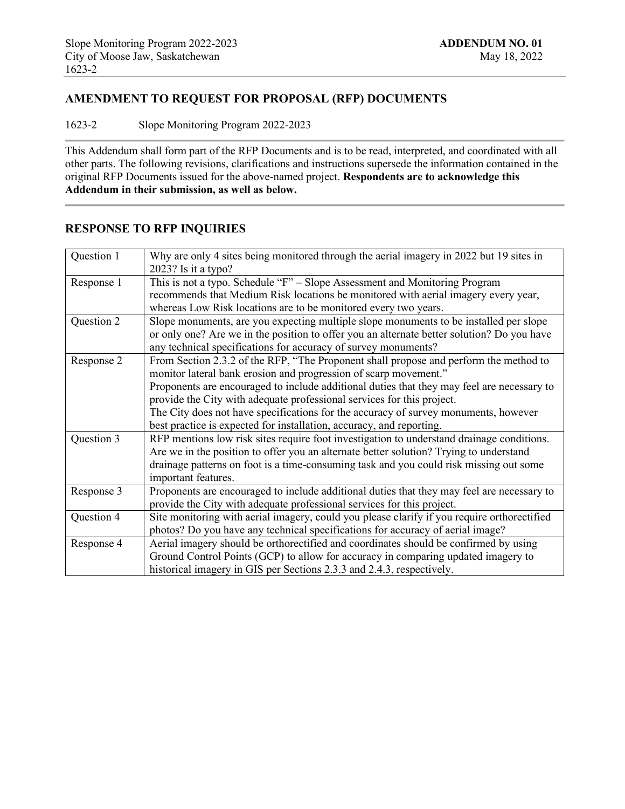## **AMENDMENT TO REQUEST FOR PROPOSAL (RFP) DOCUMENTS**

1623-2 Slope Monitoring Program 2022-2023

This Addendum shall form part of the RFP Documents and is to be read, interpreted, and coordinated with all other parts. The following revisions, clarifications and instructions supersede the information contained in the original RFP Documents issued for the above-named project. **Respondents are to acknowledge this Addendum in their submission, as well as below.**

## **RESPONSE TO RFP INQUIRIES**

| Question 1 | Why are only 4 sites being monitored through the aerial imagery in 2022 but 19 sites in     |
|------------|---------------------------------------------------------------------------------------------|
|            | $2023$ ? Is it a typo?                                                                      |
| Response 1 | This is not a typo. Schedule "F" – Slope Assessment and Monitoring Program                  |
|            | recommends that Medium Risk locations be monitored with aerial imagery every year,          |
|            | whereas Low Risk locations are to be monitored every two years.                             |
| Question 2 | Slope monuments, are you expecting multiple slope monuments to be installed per slope       |
|            | or only one? Are we in the position to offer you an alternate better solution? Do you have  |
|            | any technical specifications for accuracy of survey monuments?                              |
| Response 2 | From Section 2.3.2 of the RFP, "The Proponent shall propose and perform the method to       |
|            | monitor lateral bank erosion and progression of scarp movement."                            |
|            | Proponents are encouraged to include additional duties that they may feel are necessary to  |
|            | provide the City with adequate professional services for this project.                      |
|            | The City does not have specifications for the accuracy of survey monuments, however         |
|            | best practice is expected for installation, accuracy, and reporting.                        |
| Question 3 | RFP mentions low risk sites require foot investigation to understand drainage conditions.   |
|            |                                                                                             |
|            | Are we in the position to offer you an alternate better solution? Trying to understand      |
|            | drainage patterns on foot is a time-consuming task and you could risk missing out some      |
|            | important features.                                                                         |
| Response 3 | Proponents are encouraged to include additional duties that they may feel are necessary to  |
|            | provide the City with adequate professional services for this project.                      |
| Question 4 | Site monitoring with aerial imagery, could you please clarify if you require orthorectified |
|            | photos? Do you have any technical specifications for accuracy of aerial image?              |
| Response 4 | Aerial imagery should be orthorectified and coordinates should be confirmed by using        |
|            | Ground Control Points (GCP) to allow for accuracy in comparing updated imagery to           |
|            | historical imagery in GIS per Sections 2.3.3 and 2.4.3, respectively.                       |